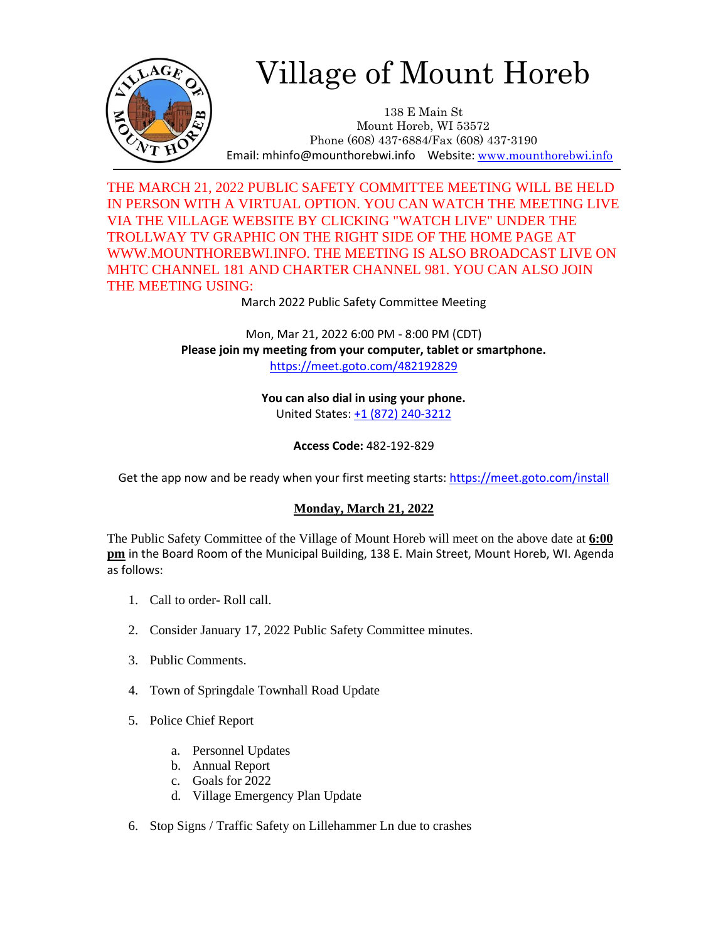

## Village of Mount Horeb

138 E Main St Mount Horeb, WI 53572 Phone (608) 437-6884/Fax (608) 437-3190 Email: mhinfo@mounthorebwi.info Website: [www.mounthorebwi.info](http://www.mounthorebwi.info/)

THE MARCH 21, 2022 PUBLIC SAFETY COMMITTEE MEETING WILL BE HELD IN PERSON WITH A VIRTUAL OPTION. YOU CAN WATCH THE MEETING LIVE VIA THE VILLAGE WEBSITE BY CLICKING "WATCH LIVE" UNDER THE TROLLWAY TV GRAPHIC ON THE RIGHT SIDE OF THE HOME PAGE AT WWW.MOUNTHOREBWI.INFO. THE MEETING IS ALSO BROADCAST LIVE ON MHTC CHANNEL 181 AND CHARTER CHANNEL 981. YOU CAN ALSO JOIN THE MEETING USING:

March 2022 Public Safety Committee Meeting

Mon, Mar 21, 2022 6:00 PM - 8:00 PM (CDT) **Please join my meeting from your computer, tablet or smartphone.**  <https://meet.goto.com/482192829>

> **You can also dial in using your phone.** United States: [+1 \(872\) 240-3212](tel:+18722403212,,482192829)

> > **Access Code:** 482-192-829

Get the app now and be ready when your first meeting starts:<https://meet.goto.com/install>

## **Monday, March 21, 2022**

The Public Safety Committee of the Village of Mount Horeb will meet on the above date at **6:00 pm** in the Board Room of the Municipal Building, 138 E. Main Street, Mount Horeb, WI. Agenda as follows:

- 1. Call to order- Roll call.
- 2. Consider January 17, 2022 Public Safety Committee minutes.
- 3. Public Comments.
- 4. Town of Springdale Townhall Road Update
- 5. Police Chief Report
	- a. Personnel Updates
	- b. Annual Report
	- c. Goals for 2022
	- d. Village Emergency Plan Update
- 6. Stop Signs / Traffic Safety on Lillehammer Ln due to crashes